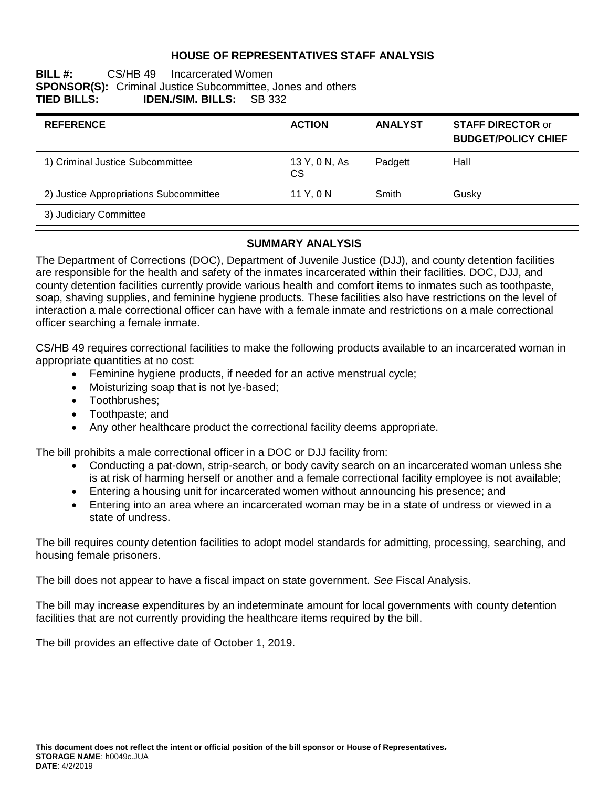### **HOUSE OF REPRESENTATIVES STAFF ANALYSIS**

#### **BILL #:** CS/HB 49 Incarcerated Women **SPONSOR(S):** Criminal Justice Subcommittee, Jones and others **TIED BILLS: IDEN./SIM. BILLS:** SB 332 **IDEN./SIM. BILLS:** SB 332

| <b>REFERENCE</b>                       | <b>ACTION</b>        | <b>ANALYST</b> | <b>STAFF DIRECTOR or</b><br><b>BUDGET/POLICY CHIEF</b> |
|----------------------------------------|----------------------|----------------|--------------------------------------------------------|
| 1) Criminal Justice Subcommittee       | 13 Y, 0 N, As<br>CS. | Padgett        | Hall                                                   |
| 2) Justice Appropriations Subcommittee | 11 Y.ON              | Smith          | Gusky                                                  |
| 3) Judiciary Committee                 |                      |                |                                                        |

#### **SUMMARY ANALYSIS**

The Department of Corrections (DOC), Department of Juvenile Justice (DJJ), and county detention facilities are responsible for the health and safety of the inmates incarcerated within their facilities. DOC, DJJ, and county detention facilities currently provide various health and comfort items to inmates such as toothpaste, soap, shaving supplies, and feminine hygiene products. These facilities also have restrictions on the level of interaction a male correctional officer can have with a female inmate and restrictions on a male correctional officer searching a female inmate.

CS/HB 49 requires correctional facilities to make the following products available to an incarcerated woman in appropriate quantities at no cost:

- Feminine hygiene products, if needed for an active menstrual cycle;
- Moisturizing soap that is not lye-based;
- Toothbrushes:
- Toothpaste: and
- Any other healthcare product the correctional facility deems appropriate.

The bill prohibits a male correctional officer in a DOC or DJJ facility from:

- Conducting a pat-down, strip-search, or body cavity search on an incarcerated woman unless she is at risk of harming herself or another and a female correctional facility employee is not available;
- Entering a housing unit for incarcerated women without announcing his presence; and
- Entering into an area where an incarcerated woman may be in a state of undress or viewed in a state of undress.

The bill requires county detention facilities to adopt model standards for admitting, processing, searching, and housing female prisoners.

The bill does not appear to have a fiscal impact on state government. *See* Fiscal Analysis.

The bill may increase expenditures by an indeterminate amount for local governments with county detention facilities that are not currently providing the healthcare items required by the bill.

The bill provides an effective date of October 1, 2019.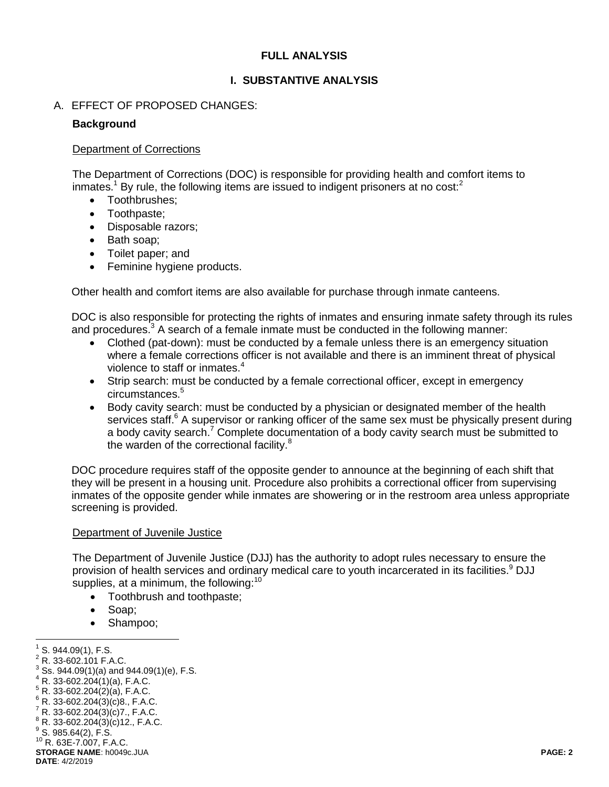## **FULL ANALYSIS**

### **I. SUBSTANTIVE ANALYSIS**

#### A. EFFECT OF PROPOSED CHANGES:

#### **Background**

#### Department of Corrections

The Department of Corrections (DOC) is responsible for providing health and comfort items to inmates.<sup>1</sup> By rule, the following items are issued to indigent prisoners at no cost: $<sup>2</sup>$ </sup>

- Toothbrushes;
- Toothpaste;
- Disposable razors;
- Bath soap;
- Toilet paper; and
- Feminine hygiene products.

Other health and comfort items are also available for purchase through inmate canteens.

DOC is also responsible for protecting the rights of inmates and ensuring inmate safety through its rules and procedures.<sup>3</sup> A search of a female inmate must be conducted in the following manner:

- Clothed (pat-down): must be conducted by a female unless there is an emergency situation where a female corrections officer is not available and there is an imminent threat of physical violence to staff or inmates.<sup>4</sup>
- Strip search: must be conducted by a female correctional officer, except in emergency circumstances.<sup>5</sup>
- Body cavity search: must be conducted by a physician or designated member of the health services staff.<sup>6</sup> A supervisor or ranking officer of the same sex must be physically present during a body cavity search.<sup>7</sup> Complete documentation of a body cavity search must be submitted to the warden of the correctional facility.<sup>8</sup>

DOC procedure requires staff of the opposite gender to announce at the beginning of each shift that they will be present in a housing unit. Procedure also prohibits a correctional officer from supervising inmates of the opposite gender while inmates are showering or in the restroom area unless appropriate screening is provided.

#### Department of Juvenile Justice

The Department of Juvenile Justice (DJJ) has the authority to adopt rules necessary to ensure the provision of health services and ordinary medical care to youth incarcerated in its facilities.<sup>9</sup> DJJ supplies, at a minimum, the following: $10$ 

- Toothbrush and toothpaste;
- Soap;
- Shampoo;

 1 S. 944.09(1), F.S.

<sup>2</sup> R. 33-602.101 F.A.C.

 $3^{3}$  Ss. 944.09(1)(a) and 944.09(1)(e), F.S.

 $4 R. 33 - 602.204(1)(a)$ , F.A.C.

 $5 R. 33-602.204(2)(a)$ , F.A.C.

 $6$  R. 33-602.204(3)(c)8., F.A.C.

 $7 R. 33 - 602.204(3)(c)$ 7., F.A.C.

 $8 R. 33 - 602.204(3)(c)$ 12., F.A.C.

 $^9$  S. 985.64(2), F.S.

**STORAGE NAME**: h0049c.JUA **PAGE: 2 DATE**: 4/2/2019 <sup>10</sup> R. 63E-7.007, F.A.C.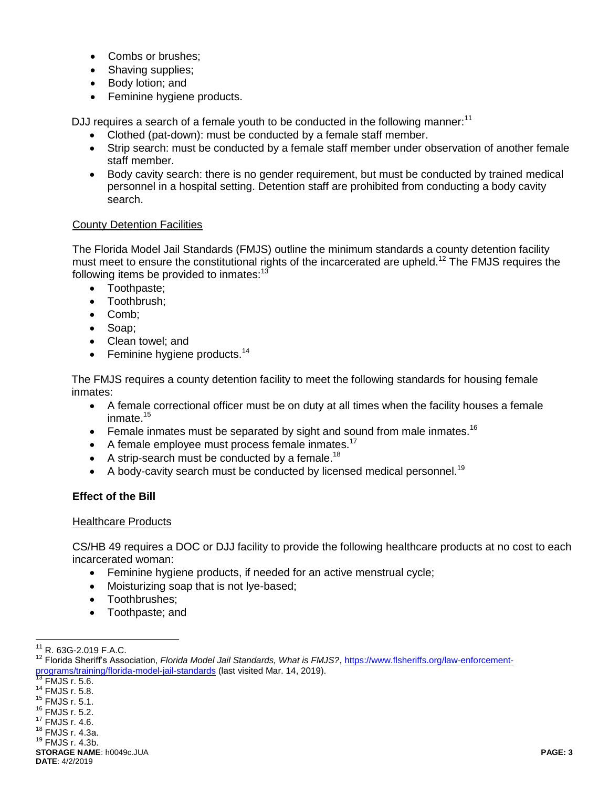- Combs or brushes:
- Shaving supplies;
- Body lotion; and
- Feminine hygiene products.

DJJ requires a search of a female youth to be conducted in the following manner:<sup>11</sup>

- Clothed (pat-down): must be conducted by a female staff member.
- Strip search: must be conducted by a female staff member under observation of another female staff member.
- Body cavity search: there is no gender requirement, but must be conducted by trained medical personnel in a hospital setting. Detention staff are prohibited from conducting a body cavity search.

## County Detention Facilities

The Florida Model Jail Standards (FMJS) outline the minimum standards a county detention facility must meet to ensure the constitutional rights of the incarcerated are upheld.<sup>12</sup> The FMJS requires the following items be provided to inmates: $13$ 

- Toothpaste;
- Toothbrush;
- Comb:
- Soap;
- Clean towel: and
- **•** Feminine hygiene products.<sup>14</sup>

The FMJS requires a county detention facility to meet the following standards for housing female inmates:

- A female correctional officer must be on duty at all times when the facility houses a female inmate.<sup>15</sup>
- **Female inmates must be separated by sight and sound from male inmates.**<sup>16</sup>
- $\bullet$  A female employee must process female inmates.<sup>17</sup>
- A strip-search must be conducted by a female.<sup>18</sup>
- $\bullet$  A body-cavity search must be conducted by licensed medical personnel.<sup>19</sup>

## **Effect of the Bill**

## Healthcare Products

CS/HB 49 requires a DOC or DJJ facility to provide the following healthcare products at no cost to each incarcerated woman:

- Feminine hygiene products, if needed for an active menstrual cycle;
- Moisturizing soap that is not lye-based;
- Toothbrushes;
- Toothpaste; and

 $\overline{a}$ 

- <sup>14</sup> FMJS r. 5.8.
- <sup>15</sup> FMJS r. 5.1.
- <sup>16</sup> FMJS r. 5.2. <sup>17</sup> FMJS r. 4.6.
- <sup>18</sup> FMJS r. 4.3a.
- <sup>19</sup> FMJS r. 4.3b.

**STORAGE NAME**: h0049c.JUA **PAGE: 3 DATE**: 4/2/2019

 $11$  R. 63G-2.019 F.A.C.

<sup>&</sup>lt;sup>12</sup> Florida Sheriff's Association, *Florida Model Jail Standards, What is FMJS?*, [https://www.flsheriffs.org/law-enforcement](https://www.flsheriffs.org/law-enforcement-programs/training/florida-model-jail-standards)[programs/training/florida-model-jail-standards](https://www.flsheriffs.org/law-enforcement-programs/training/florida-model-jail-standards) (last visited Mar. 14, 2019).

 $\frac{13}{13}$  FMJS r. 5.6.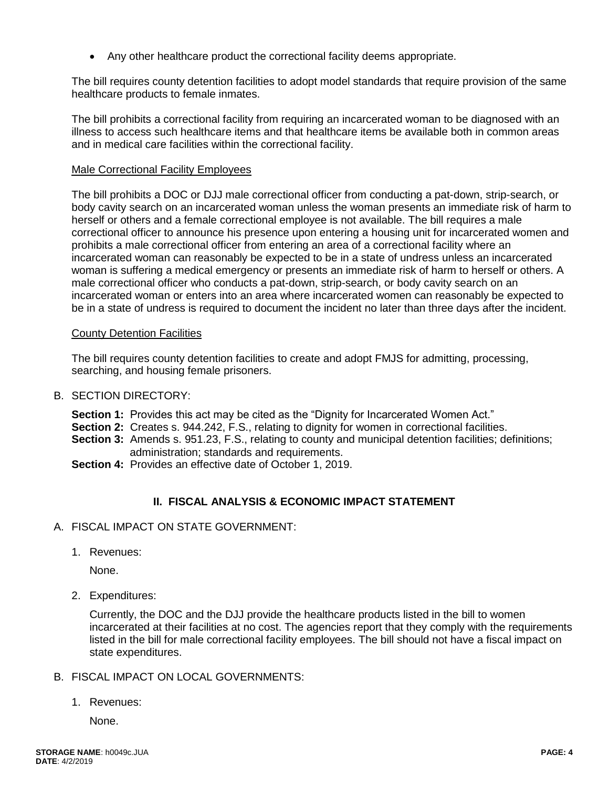Any other healthcare product the correctional facility deems appropriate.

The bill requires county detention facilities to adopt model standards that require provision of the same healthcare products to female inmates.

The bill prohibits a correctional facility from requiring an incarcerated woman to be diagnosed with an illness to access such healthcare items and that healthcare items be available both in common areas and in medical care facilities within the correctional facility.

#### Male Correctional Facility Employees

The bill prohibits a DOC or DJJ male correctional officer from conducting a pat-down, strip-search, or body cavity search on an incarcerated woman unless the woman presents an immediate risk of harm to herself or others and a female correctional employee is not available. The bill requires a male correctional officer to announce his presence upon entering a housing unit for incarcerated women and prohibits a male correctional officer from entering an area of a correctional facility where an incarcerated woman can reasonably be expected to be in a state of undress unless an incarcerated woman is suffering a medical emergency or presents an immediate risk of harm to herself or others. A male correctional officer who conducts a pat-down, strip-search, or body cavity search on an incarcerated woman or enters into an area where incarcerated women can reasonably be expected to be in a state of undress is required to document the incident no later than three days after the incident.

#### County Detention Facilities

The bill requires county detention facilities to create and adopt FMJS for admitting, processing, searching, and housing female prisoners.

## B. SECTION DIRECTORY:

- **Section 1:** Provides this act may be cited as the "Dignity for Incarcerated Women Act."
- **Section 2:** Creates s. 944.242, F.S., relating to dignity for women in correctional facilities.
- **Section 3:** Amends s. 951.23, F.S., relating to county and municipal detention facilities; definitions; administration; standards and requirements.
- **Section 4:** Provides an effective date of October 1, 2019.

# **II. FISCAL ANALYSIS & ECONOMIC IMPACT STATEMENT**

- A. FISCAL IMPACT ON STATE GOVERNMENT:
	- 1. Revenues:

None.

2. Expenditures:

Currently, the DOC and the DJJ provide the healthcare products listed in the bill to women incarcerated at their facilities at no cost. The agencies report that they comply with the requirements listed in the bill for male correctional facility employees. The bill should not have a fiscal impact on state expenditures.

- B. FISCAL IMPACT ON LOCAL GOVERNMENTS:
	- 1. Revenues:

None.